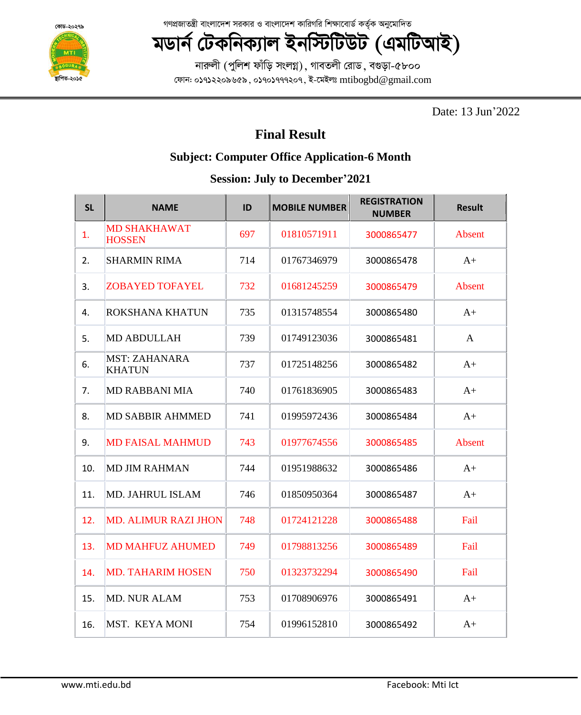**¯'vwcZ-2015**

গণপ্রজাতন্ত্রী বাংলাদেশ সরকার ও বাংলাদেশ কারিগরি শিক্ষাবোর্ড কর্তৃক অনুমোদিত

## **মডাৰ্ন টেকনিক্যাল ইনস্টিটিউট (এমটিআই)**

নারুলী (পুলিশ ফাঁড়ি সংলগ্ন), গাবতলী রোড, বগুড়া-৫৮০০ ফোন: ০১৭১২২০৯৬৫৯, ০১৭০১৭৭৭২০৭, ই-মেইলঃ  $m$ tibogbd@gmail.com

Date: 13 Jun'2022

## **Final Result**

## **Subject: Computer Office Application-6 Month**

## **Session: July to December'2021**

| <b>SL</b> | <b>NAME</b>                           | ID  | <b>MOBILE NUMBER</b> | <b>REGISTRATION</b><br><b>NUMBER</b> | <b>Result</b> |
|-----------|---------------------------------------|-----|----------------------|--------------------------------------|---------------|
| 1.        | <b>MD SHAKHAWAT</b><br><b>HOSSEN</b>  | 697 | 01810571911          | 3000865477                           | Absent        |
| 2.        | <b>SHARMIN RIMA</b>                   | 714 | 01767346979          | 3000865478                           | $A+$          |
| 3.        | <b>ZOBAYED TOFAYEL</b>                | 732 | 01681245259          | 3000865479                           | <b>Absent</b> |
| 4.        | ROKSHANA KHATUN                       | 735 | 01315748554          | 3000865480                           | $A+$          |
| 5.        | <b>MD ABDULLAH</b>                    | 739 | 01749123036          | 3000865481                           | $\mathbf{A}$  |
| 6.        | <b>MST: ZAHANARA</b><br><b>KHATUN</b> | 737 | 01725148256          | 3000865482                           | $A+$          |
| 7.        | <b>MD RABBANI MIA</b>                 | 740 | 01761836905          | 3000865483                           | $A+$          |
| 8.        | <b>MD SABBIR AHMMED</b>               | 741 | 01995972436          | 3000865484                           | $A+$          |
| 9.        | <b>MD FAISAL MAHMUD</b>               | 743 | 01977674556          | 3000865485                           | Absent        |
| 10.       | <b>MD JIM RAHMAN</b>                  | 744 | 01951988632          | 3000865486                           | $A+$          |
| 11.       | <b>MD. JAHRUL ISLAM</b>               | 746 | 01850950364          | 3000865487                           | $A+$          |
| 12.       | <b>MD. ALIMUR RAZI JHON</b>           | 748 | 01724121228          | 3000865488                           | Fail          |
| 13.       | <b>MD MAHFUZ AHUMED</b>               | 749 | 01798813256          | 3000865489                           | Fail          |
| 14.       | <b>MD. TAHARIM HOSEN</b>              | 750 | 01323732294          | 3000865490                           | Fail          |
| 15.       | <b>MD. NUR ALAM</b>                   | 753 | 01708906976          | 3000865491                           | $A+$          |
| 16.       | <b>MST. KEYA MONI</b>                 | 754 | 01996152810          | 3000865492                           | $A+$          |